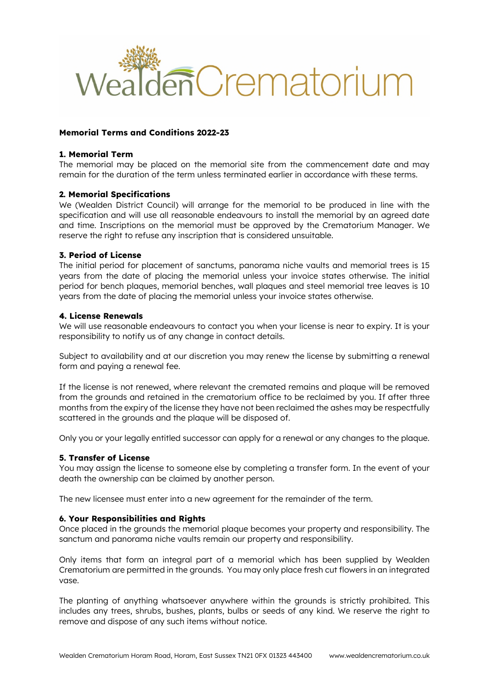

## **Memorial Terms and Conditions 2022-23**

#### **1. Memorial Term**

The memorial may be placed on the memorial site from the commencement date and may remain for the duration of the term unless terminated earlier in accordance with these terms.

### **2. Memorial Specifications**

We (Wealden District Council) will arrange for the memorial to be produced in line with the specification and will use all reasonable endeavours to install the memorial by an agreed date and time. Inscriptions on the memorial must be approved by the Crematorium Manager. We reserve the right to refuse any inscription that is considered unsuitable.

#### **3. Period of License**

The initial period for placement of sanctums, panorama niche vaults and memorial trees is 15 years from the date of placing the memorial unless your invoice states otherwise. The initial period for bench plaques, memorial benches, wall plaques and steel memorial tree leaves is 10 years from the date of placing the memorial unless your invoice states otherwise.

#### **4. License Renewals**

We will use reasonable endeavours to contact you when your license is near to expiry. It is your responsibility to notify us of any change in contact details.

Subject to availability and at our discretion you may renew the license by submitting a renewal form and paying a renewal fee.

If the license is not renewed, where relevant the cremated remains and plaque will be removed from the grounds and retained in the crematorium office to be reclaimed by you. If after three months from the expiry of the license they have not been reclaimed the ashes may be respectfully scattered in the grounds and the plaque will be disposed of.

Only you or your legally entitled successor can apply for a renewal or any changes to the plaque.

### **5. Transfer of License**

You may assign the license to someone else by completing a transfer form. In the event of your death the ownership can be claimed by another person.

The new licensee must enter into a new agreement for the remainder of the term.

## **6. Your Responsibilities and Rights**

Once placed in the grounds the memorial plaque becomes your property and responsibility. The sanctum and panorama niche vaults remain our property and responsibility.

Only items that form an integral part of a memorial which has been supplied by Wealden Crematorium are permitted in the grounds. You may only place fresh cut flowers in an integrated vase.

The planting of anything whatsoever anywhere within the grounds is strictly prohibited. This includes any trees, shrubs, bushes, plants, bulbs or seeds of any kind. We reserve the right to remove and dispose of any such items without notice.